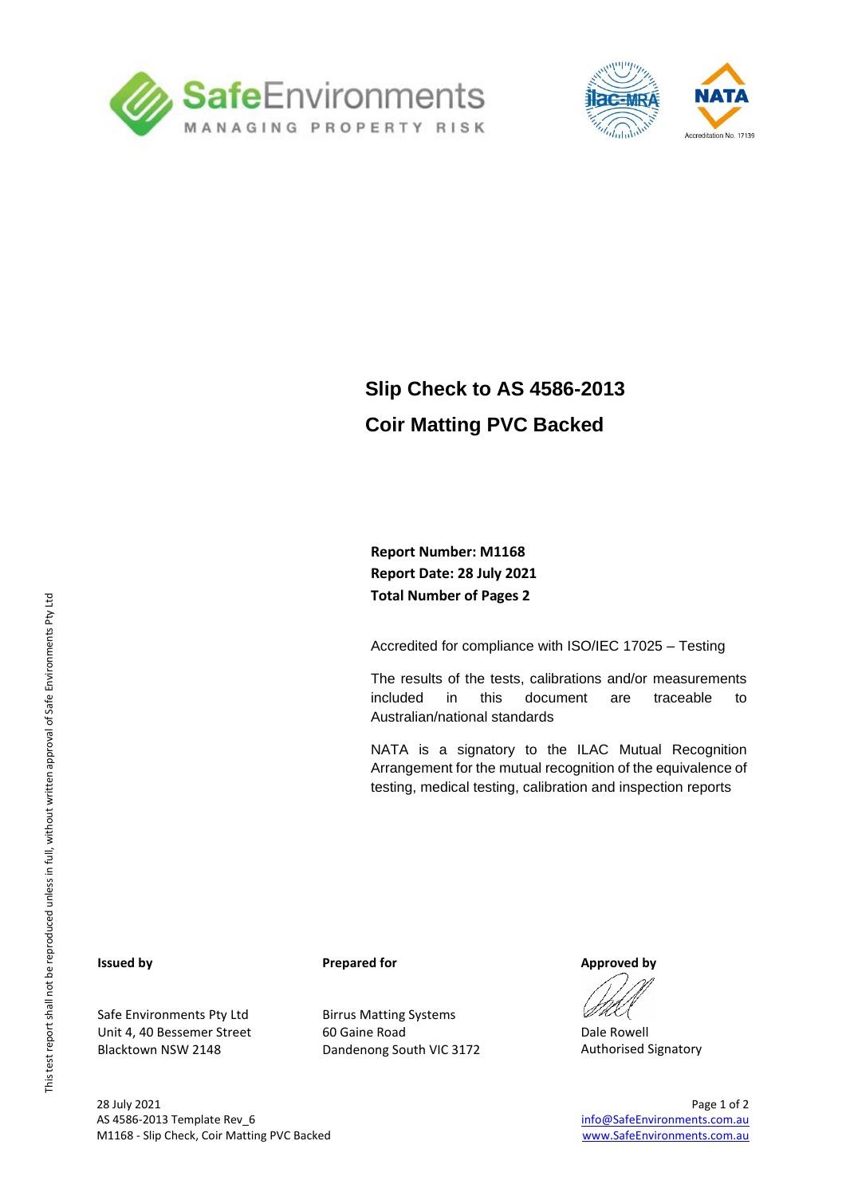



## **Slip Check to AS 4586-2013 Coir Matting PVC Backed**

### **Report Number: M1168 Report Date: 28 July 2021 Total Number of Pages 2**

Accredited for compliance with ISO/IEC 17025 – Testing

The results of the tests, calibrations and/or measurements included in this document are traceable to Australian/national standards

NATA is a signatory to the ILAC Mutual Recognition Arrangement for the mutual recognition of the equivalence of testing, medical testing, calibration and inspection reports

#### **Issued by**

Safe Environments Pty Ltd Unit 4, 40 Bessemer Street Blacktown NSW 2148

#### **Prepared for**

Birrus Matting Systems 60 Gaine Road Dandenong South VIC 3172

**Approved by**

Dale Rowell Authorised Signatory